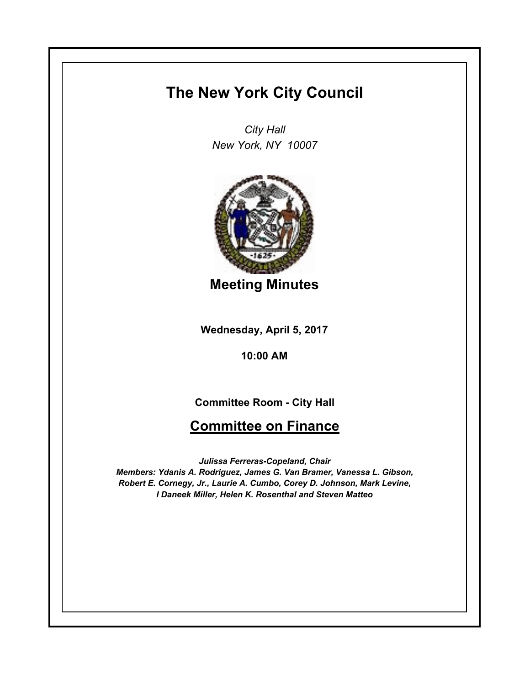## **The New York City Council**

*City Hall New York, NY 10007*



**Meeting Minutes**

**Wednesday, April 5, 2017**

**10:00 AM**

**Committee Room - City Hall**

## **Committee on Finance**

*Julissa Ferreras-Copeland, Chair Members: Ydanis A. Rodriguez, James G. Van Bramer, Vanessa L. Gibson, Robert E. Cornegy, Jr., Laurie A. Cumbo, Corey D. Johnson, Mark Levine, I Daneek Miller, Helen K. Rosenthal and Steven Matteo*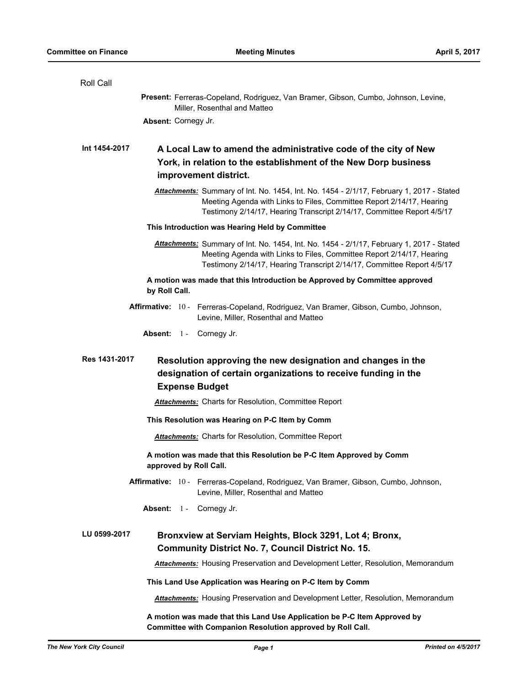| Roll Call                                                                                                                                                                                                                                   |  |  |
|---------------------------------------------------------------------------------------------------------------------------------------------------------------------------------------------------------------------------------------------|--|--|
| Present: Ferreras-Copeland, Rodriguez, Van Bramer, Gibson, Cumbo, Johnson, Levine,<br>Miller, Rosenthal and Matteo                                                                                                                          |  |  |
| Absent: Cornegy Jr.                                                                                                                                                                                                                         |  |  |
| Int 1454-2017<br>A Local Law to amend the administrative code of the city of New<br>York, in relation to the establishment of the New Dorp business<br>improvement district.                                                                |  |  |
| Attachments: Summary of Int. No. 1454, Int. No. 1454 - 2/1/17, February 1, 2017 - Stated<br>Meeting Agenda with Links to Files, Committee Report 2/14/17, Hearing<br>Testimony 2/14/17, Hearing Transcript 2/14/17, Committee Report 4/5/17 |  |  |
| This Introduction was Hearing Held by Committee                                                                                                                                                                                             |  |  |
| Attachments: Summary of Int. No. 1454, Int. No. 1454 - 2/1/17, February 1, 2017 - Stated<br>Meeting Agenda with Links to Files, Committee Report 2/14/17, Hearing<br>Testimony 2/14/17, Hearing Transcript 2/14/17, Committee Report 4/5/17 |  |  |
| A motion was made that this Introduction be Approved by Committee approved<br>by Roll Call.                                                                                                                                                 |  |  |
| Affirmative: 10 - Ferreras-Copeland, Rodriguez, Van Bramer, Gibson, Cumbo, Johnson,<br>Levine, Miller, Rosenthal and Matteo                                                                                                                 |  |  |
| Absent: 1 - Cornegy Jr.                                                                                                                                                                                                                     |  |  |
| Res 1431-2017<br>Resolution approving the new designation and changes in the<br>designation of certain organizations to receive funding in the<br><b>Expense Budget</b>                                                                     |  |  |
| <b>Attachments:</b> Charts for Resolution, Committee Report                                                                                                                                                                                 |  |  |
| This Resolution was Hearing on P-C Item by Comm                                                                                                                                                                                             |  |  |
| <b>Attachments:</b> Charts for Resolution, Committee Report                                                                                                                                                                                 |  |  |
| A motion was made that this Resolution be P-C Item Approved by Comm<br>approved by Roll Call.                                                                                                                                               |  |  |
| Affirmative: 10 - Ferreras-Copeland, Rodriguez, Van Bramer, Gibson, Cumbo, Johnson,<br>Levine, Miller, Rosenthal and Matteo                                                                                                                 |  |  |
| Absent: 1 - Cornegy Jr.                                                                                                                                                                                                                     |  |  |
| LU 0599-2017<br>Bronxview at Serviam Heights, Block 3291, Lot 4; Bronx,<br><b>Community District No. 7, Council District No. 15.</b>                                                                                                        |  |  |
| <b>Attachments:</b> Housing Preservation and Development Letter, Resolution, Memorandum                                                                                                                                                     |  |  |
| This Land Use Application was Hearing on P-C Item by Comm                                                                                                                                                                                   |  |  |
| <b>Attachments:</b> Housing Preservation and Development Letter, Resolution, Memorandum                                                                                                                                                     |  |  |
| A motion was made that this Land Use Application be P-C Item Approved by<br>Committee with Companion Resolution approved by Roll Call.                                                                                                      |  |  |